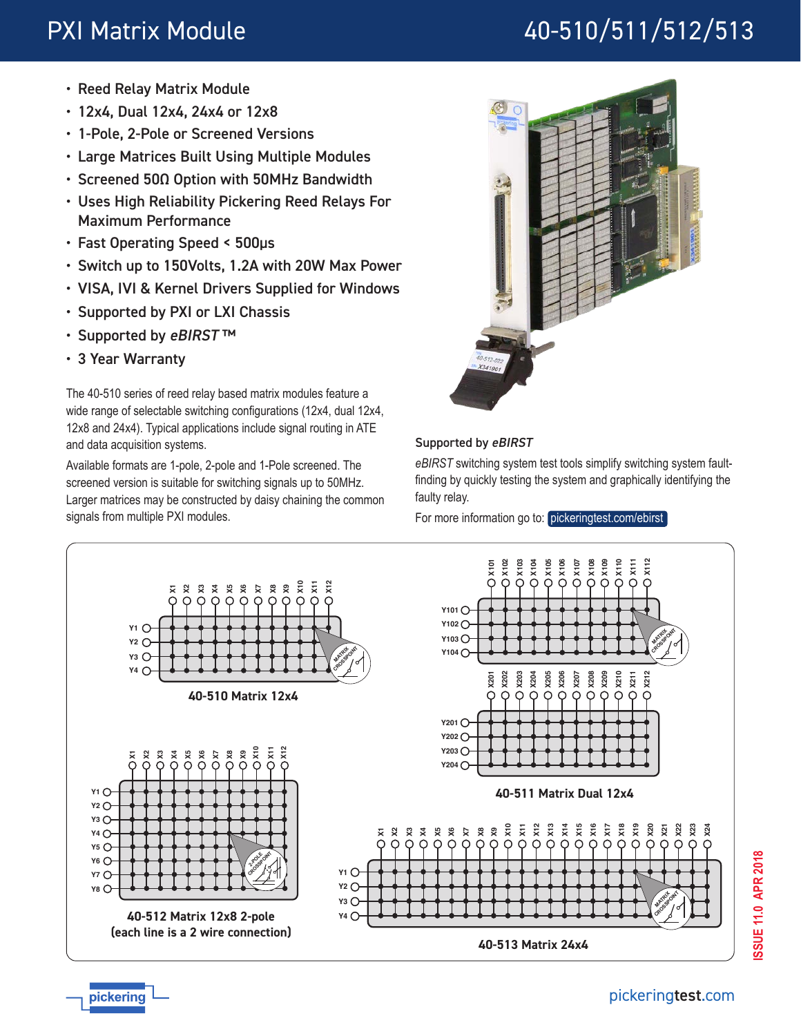# PXI Matrix Module 40-510/511/512/513

- Reed Relay Matrix Module
- 12x4, Dual 12x4, 24x4 or 12x8
- 1-Pole, 2-Pole or Screened Versions
- Large Matrices Built Using Multiple Modules
- Screened 50Ω Option with 50MHz Bandwidth
- Uses High Reliability Pickering Reed Relays For Maximum Performance
- Fast Operating Speed < 500µs
- Switch up to 150Volts, 1.2A with 20W Max Power
- VISA, IVI & Kernel Drivers Supplied for Windows
- Supported by PXI or LXI Chassis
- Supported by eBIRST™
- 3 Year Warranty

pickering

The 40-510 series of reed relay based matrix modules feature a wide range of selectable switching configurations (12x4, dual 12x4, 12x8 and 24x4). Typical applications include signal routing in ATE and data acquisition systems.

Available formats are 1-pole, 2-pole and 1-Pole screened. The screened version is suitable for switching signals up to 50MHz. Larger matrices may be constructed by daisy chaining the common signals from multiple PXI modules.



# Supported by eBIRST

*eBIRST* switching system test tools simplify switching system faultfinding by quickly testing the system and graphically identifying the faulty relay.

For more information go to: [pickeringtest.com/ebirst](http://www.pickeringtest.com/ebirst)

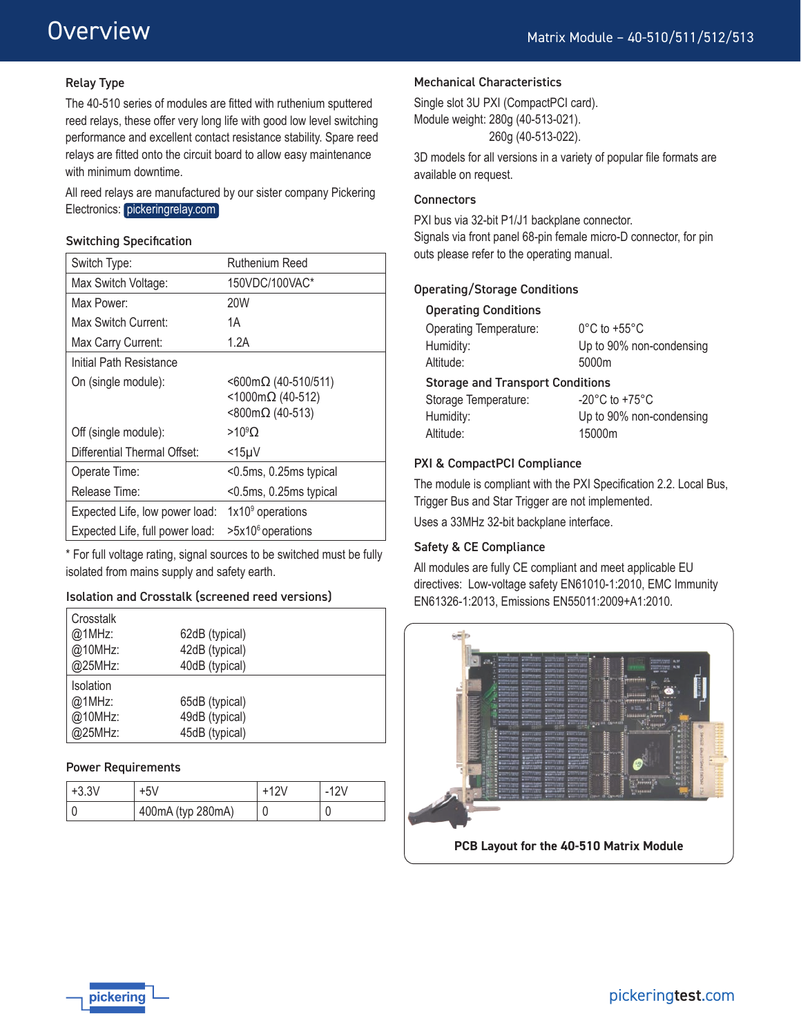#### Relay Type

The 40-510 series of modules are fitted with ruthenium sputtered reed relays, these offer very long life with good low level switching performance and excellent contact resistance stability. Spare reed relays are fitted onto the circuit board to allow easy maintenance with minimum downtime.

All reed relays are manufactured by our sister company Pickering Electronics: [pickeringrelay.com](http://www.pickeringrelay.com)

#### Switching Specification

| Switch Type:                    | Ruthenium Reed                                                        |
|---------------------------------|-----------------------------------------------------------------------|
| Max Switch Voltage:             | 150VDC/100VAC*                                                        |
| Max Power:                      | 20W                                                                   |
| Max Switch Current:             | 1Α                                                                    |
| Max Carry Current:              | 1.2A                                                                  |
| Initial Path Resistance         |                                                                       |
| On (single module):             | $<$ 600m $\Omega$ (40-510/511)<br><1000mΩ (40-512)<br><800mΩ (40-513) |
| Off (single module):            | $>10^9$ O                                                             |
| Differential Thermal Offset:    | <15µV                                                                 |
| Operate Time:                   | <0.5ms, 0.25ms typical                                                |
| Release Time:                   | <0.5ms, 0.25ms typical                                                |
| Expected Life, low power load:  | $1x109$ operations                                                    |
| Expected Life, full power load: | >5x10 <sup>6</sup> operations                                         |

\* For full voltage rating, signal sources to be switched must be fully isolated from mains supply and safety earth.

#### Isolation and Crosstalk (screened reed versions)

| Crosstalk |                |  |
|-----------|----------------|--|
| @1MHz:    | 62dB (typical) |  |
| @10MHz:   | 42dB (typical) |  |
| @25MHz:   | 40dB (typical) |  |
| Isolation |                |  |
| @1MHz:    | 65dB (typical) |  |
| @10MHz:   | 49dB (typical) |  |
| @25MHz:   | 45dB (typical) |  |

#### Power Requirements

| $+3.3V$ | +5V               |   | -12V |
|---------|-------------------|---|------|
|         | 400mA (typ 280mA) | C |      |

#### Mechanical Characteristics

Single slot 3U PXI (CompactPCI card). Module weight: 280g (40-513-021). 260g (40-513-022).

3D models for all versions in a variety of popular file formats are available on request.

#### **Connectors**

PXI bus via 32-bit P1/J1 backplane connector. Signals via front panel 68-pin female micro-D connector, for pin outs please refer to the operating manual.

#### Operating/Storage Conditions

| <b>Operating Temperature:</b>           | $0^{\circ}$ C to +55 $^{\circ}$ C  |  |
|-----------------------------------------|------------------------------------|--|
| Humidity:                               | Up to 90% non-condensing           |  |
| Altitude:                               | 5000m                              |  |
| <b>Storage and Transport Conditions</b> |                                    |  |
| Storage Temperature:                    | $-20^{\circ}$ C to $+75^{\circ}$ C |  |
| Humidity:                               | Up to 90% non-condensing           |  |
| Altitude:                               | 15000m                             |  |

#### PXI & CompactPCI Compliance

The module is compliant with the PXI Specification 2.2. Local Bus, Trigger Bus and Star Trigger are not implemented.

Uses a 33MHz 32-bit backplane interface.

#### Safety & CE Compliance

All modules are fully CE compliant and meet applicable EU directives: Low-voltage safety EN61010-1:2010, EMC Immunity EN61326-1:2013, Emissions EN55011:2009+A1:2010.



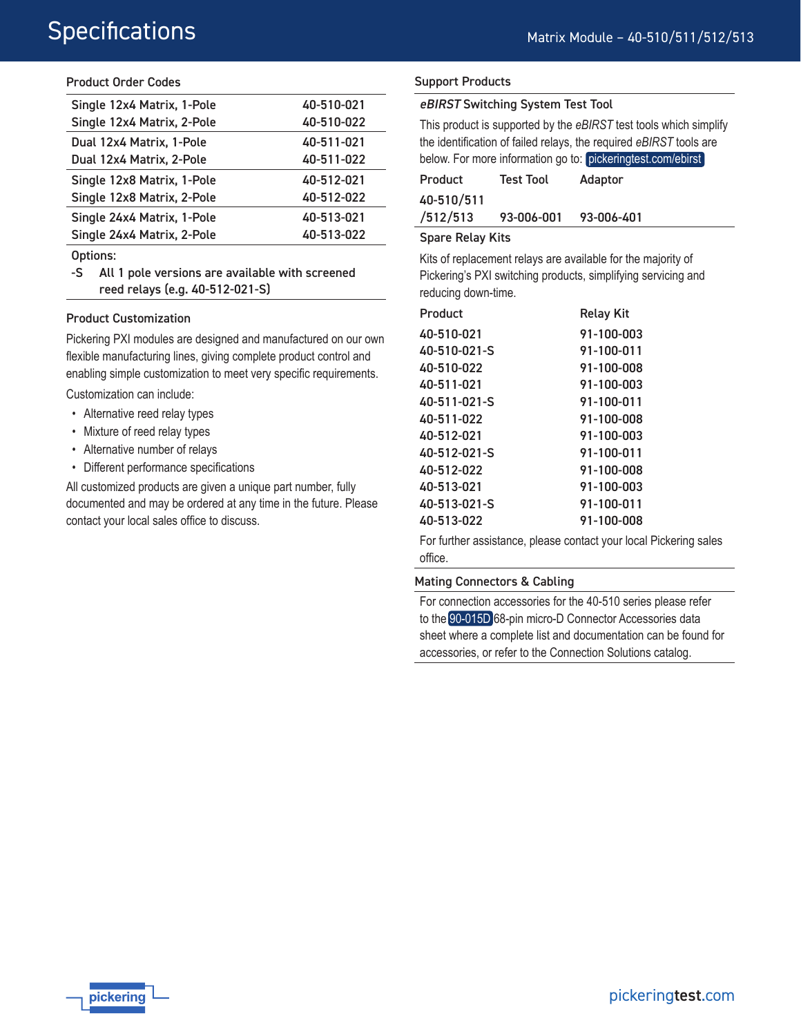#### Product Order Codes

| 40-510-021 |
|------------|
| 40-510-022 |
| 40-511-021 |
| 40-511-022 |
| 40-512-021 |
| 40-512-022 |
| 40-513-021 |
| 40-513-022 |
|            |

Options:

-S All 1 pole versions are available with screened reed relays (e.g. 40-512-021-S)

#### Product Customization

Pickering PXI modules are designed and manufactured on our own flexible manufacturing lines, giving complete product control and enabling simple customization to meet very specific requirements.

Customization can include:

- Alternative reed relay types
- Mixture of reed relay types
- Alternative number of relays
- Different performance specifications

All customized products are given a unique part number, fully documented and may be ordered at any time in the future. Please contact your local sales office to discuss.

#### Support Products

#### eBIRST Switching System Test Tool

This product is supported by the *eBIRST* test tools which simplify the identification of failed relays, the required *eBIRST* tools are below. For more information go to: [pickeringtest.com/ebirst](http://www.pickeringtest.com/ebirst)

| Product    | <b>Test Tool</b> | Adaptor    |
|------------|------------------|------------|
| 40-510/511 |                  |            |
| /512/513   | 93-006-001       | 93-006-401 |

#### Spare Relay Kits

Kits of replacement relays are available for the majority of Pickering's PXI switching products, simplifying servicing and reducing down-time.

| Product      | <b>Relay Kit</b> |
|--------------|------------------|
| 40-510-021   | 91-100-003       |
| 40-510-021-S | 91-100-011       |
| 40-510-022   | 91-100-008       |
| 40-511-021   | 91-100-003       |
| 40-511-021-S | 91-100-011       |
| 40-511-022   | 91-100-008       |
| 40-512-021   | 91-100-003       |
| 40-512-021-S | 91-100-011       |
| 40-512-022   | 91-100-008       |
| 40-513-021   | 91-100-003       |
| 40-513-021-S | 91-100-011       |
| 40-513-022   | 91-100-008       |

For further assistance, please contact your local Pickering sales office.

#### Mating Connectors & Cabling

For connection accessories for the 40-510 series please refer to the [90-015D](http://www.pickeringtest.com/content/downloads/datasheets/90-015D.pdf) 68-pin micro-D Connector Accessories data sheet where a complete list and documentation can be found for accessories, or refer to the Connection Solutions catalog.

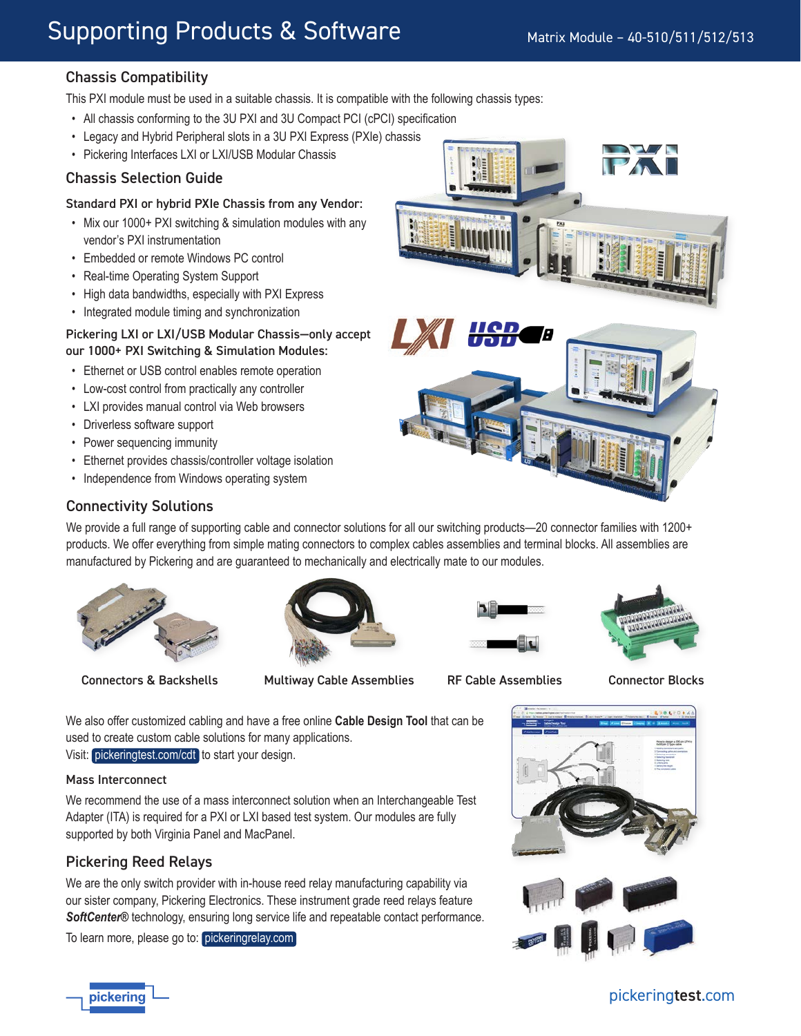# Supporting Products & Software

# Chassis Compatibility

This PXI module must be used in a suitable chassis. It is compatible with the following chassis types:

- All chassis conforming to the 3U PXI and 3U Compact PCI (cPCI) specification
- Legacy and Hybrid Peripheral slots in a 3U PXI Express (PXIe) chassis
- Pickering Interfaces LXI or LXI/USB Modular Chassis

### Chassis Selection Guide

#### Standard PXI or hybrid PXIe Chassis from any Vendor:

- Mix our 1000+ PXI switching & simulation modules with any vendor's PXI instrumentation
- Embedded or remote Windows PC control
- Real-time Operating System Support
- High data bandwidths, especially with PXI Express
- Integrated module timing and synchronization

#### Pickering LXI or LXI/USB Modular Chassis—only accept our 1000+ PXI Switching & Simulation Modules:

- Ethernet or USB control enables remote operation
- Low-cost control from practically any controller
- LXI provides manual control via Web browsers
- Driverless software support
- Power sequencing immunity
- Ethernet provides chassis/controller voltage isolation
- Independence from Windows operating system



## Connectivity Solutions

We provide a full range of supporting cable and connector solutions for all our switching products—20 connector families with 1200+ products. We offer everything from simple mating connectors to complex cables assemblies and terminal blocks. All assemblies are manufactured by Pickering and are guaranteed to mechanically and electrically mate to our modules.



Connectors & Backshells Multiway Cable Assemblies RF Cable Assemblies Connector Blocks







We also offer customized cabling and have a free online **Cable Design Tool** that can be used to create custom cable solutions for many applications.

Visit: [pickeringtest.com/cdt](http://www.pickeringtest.com/cdt) to start your design.

### Mass Interconnect

We recommend the use of a mass interconnect solution when an Interchangeable Test Adapter (ITA) is required for a PXI or LXI based test system. Our modules are fully supported by both Virginia Panel and MacPanel.

# Pickering Reed Relays

We are the only switch provider with in-house reed relay manufacturing capability via our sister company, Pickering Electronics. These instrument grade reed relays feature *SoftCenter®* technology, ensuring long service life and repeatable contact performance.

To learn more, please go to: [pickeringrelay.com](http://www.pickeringrelay.com)